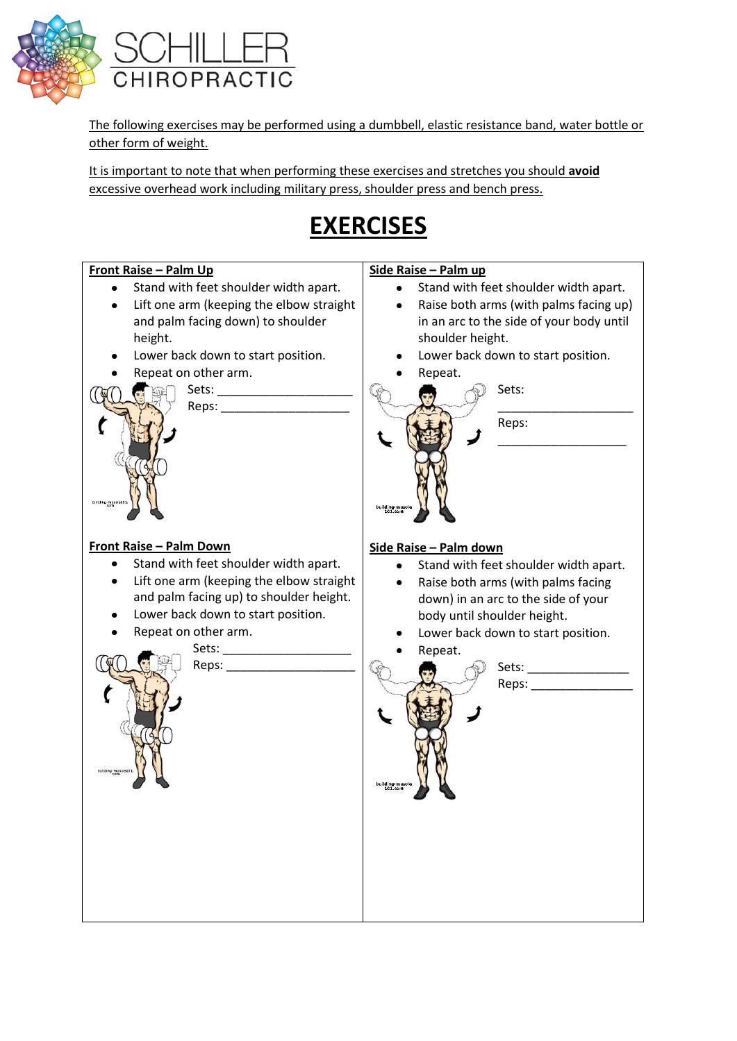

The following exercises may be performed using a dumbbell, elastic resistance band, water bottle or other form of weight.

It is important to note that when performing these exercises and stretches you should **avoid** excessive overhead work including military press, shoulder press and bench press.

### **EXERCISES**

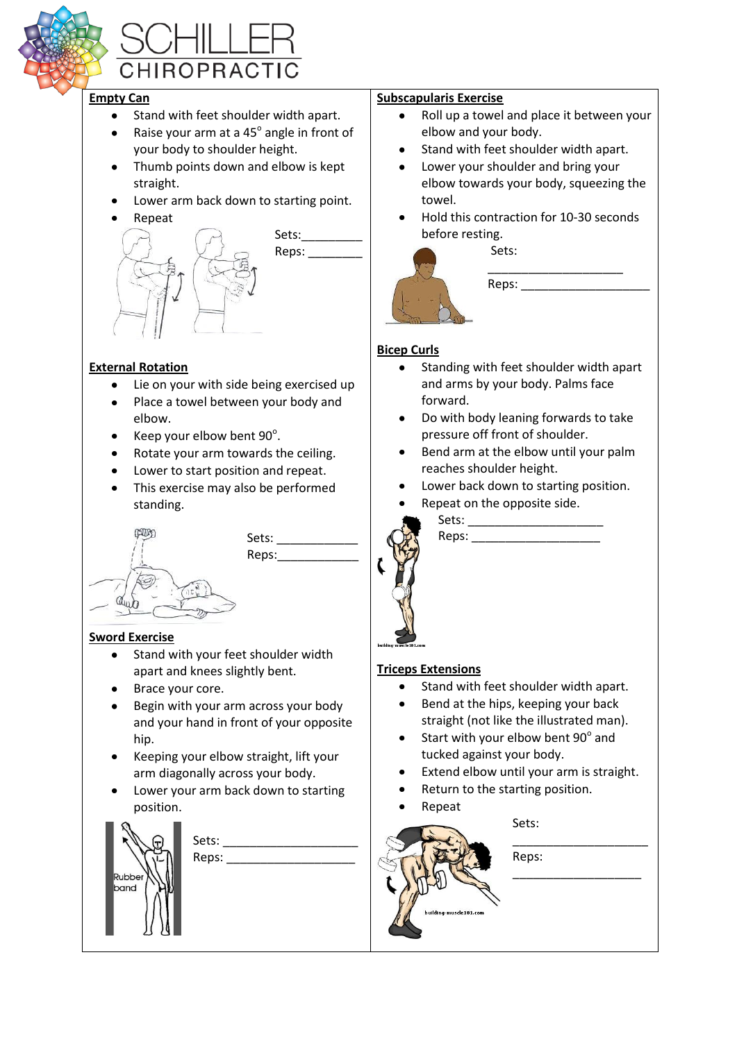

# CHIROPRACTIC

#### **Empty Can**

- Stand with feet shoulder width apart.  $\bullet$
- Raise your arm at a 45° angle in front of  $\bullet$ your body to shoulder height.
- Thumb points down and elbow is kept straight.
- Lower arm back down to starting point.
- Repeat Sets: Reps:

#### **External Rotation**

- Lie on your with side being exercised up
- Place a towel between your body and elbow.
- Keep your elbow bent 90°.  $\bullet$
- Rotate your arm towards the ceiling.  $\bullet$
- Lower to start position and repeat.  $\bullet$
- This exercise may also be performed  $\bullet$ standing.

Sets: Reps:



**Sword Exercise**

- Stand with your feet shoulder width apart and knees slightly bent.
- Brace your core.
- Begin with your arm across your body and your hand in front of your opposite hip.
- Keeping your elbow straight, lift your  $\bullet$ arm diagonally across your body.
- Lower your arm back down to starting position.



#### **Subscapularis Exercise**

- $\bullet$ Roll up a towel and place it between your elbow and your body.
- Stand with feet shoulder width apart.
- Lower your shoulder and bring your elbow towards your body, squeezing the towel.
- Hold this contraction for 10-30 seconds before resting.

Sets:



#### **Bicep Curls**

- Standing with feet shoulder width apart and arms by your body. Palms face forward.
- Do with body leaning forwards to take pressure off front of shoulder.
- Bend arm at the elbow until your palm reaches shoulder height.
- Lower back down to starting position.
- Repeat on the opposite side.



Sets:  $\qquad \qquad \qquad$ Reps: \_\_\_\_\_\_\_\_\_\_\_\_\_\_\_\_\_\_\_

#### **Triceps Extensions**

- Stand with feet shoulder width apart.
- Bend at the hips, keeping your back straight (not like the illustrated man).
- Start with your elbow bent 90° and tucked against your body.
- Extend elbow until your arm is straight.
- Return to the starting position.
- Repeat

Sets: